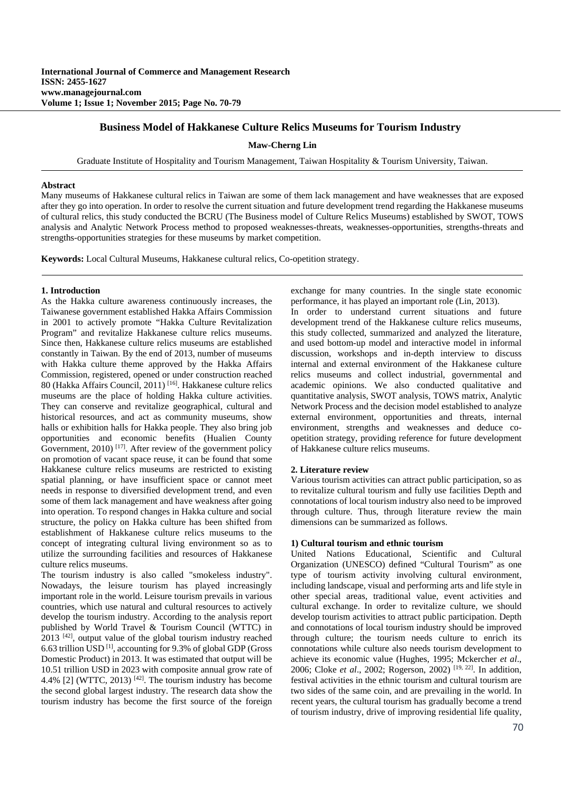# **Business Model of Hakkanese Culture Relics Museums for Tourism Industry**

**Maw-Cherng Lin** 

Graduate Institute of Hospitality and Tourism Management, Taiwan Hospitality & Tourism University, Taiwan.

# **Abstract**

Many museums of Hakkanese cultural relics in Taiwan are some of them lack management and have weaknesses that are exposed after they go into operation. In order to resolve the current situation and future development trend regarding the Hakkanese museums of cultural relics, this study conducted the BCRU (The Business model of Culture Relics Museums) established by SWOT, TOWS analysis and Analytic Network Process method to proposed weaknesses-threats, weaknesses-opportunities, strengths-threats and strengths-opportunities strategies for these museums by market competition.

**Keywords:** Local Cultural Museums, Hakkanese cultural relics, Co-opetition strategy.

## **1. Introduction**

As the Hakka culture awareness continuously increases, the Taiwanese government established Hakka Affairs Commission in 2001 to actively promote "Hakka Culture Revitalization Program" and revitalize Hakkanese culture relics museums. Since then, Hakkanese culture relics museums are established constantly in Taiwan. By the end of 2013, number of museums with Hakka culture theme approved by the Hakka Affairs Commission, registered, opened or under construction reached 80 (Hakka Affairs Council, 2011) [16]. Hakkanese culture relics museums are the place of holding Hakka culture activities. They can conserve and revitalize geographical, cultural and historical resources, and act as community museums, show halls or exhibition halls for Hakka people. They also bring job opportunities and economic benefits (Hualien County Government, 2010)<sup>[17]</sup>. After review of the government policy on promotion of vacant space reuse, it can be found that some Hakkanese culture relics museums are restricted to existing spatial planning, or have insufficient space or cannot meet needs in response to diversified development trend, and even some of them lack management and have weakness after going into operation. To respond changes in Hakka culture and social structure, the policy on Hakka culture has been shifted from establishment of Hakkanese culture relics museums to the concept of integrating cultural living environment so as to utilize the surrounding facilities and resources of Hakkanese culture relics museums.

The tourism industry is also called "smokeless industry". Nowadays, the leisure tourism has played increasingly important role in the world. Leisure tourism prevails in various countries, which use natural and cultural resources to actively develop the tourism industry. According to the analysis report published by World Travel & Tourism Council (WTTC) in  $2013$  <sup>[42]</sup>, output value of the global tourism industry reached 6.63 trillion USD<sup>[1]</sup>, accounting for 9.3% of global GDP (Gross Domestic Product) in 2013. It was estimated that output will be 10.51 trillion USD in 2023 with composite annual grow rate of 4.4% [2] (WTTC, 2013)<sup>[42]</sup>. The tourism industry has become the second global largest industry. The research data show the tourism industry has become the first source of the foreign exchange for many countries. In the single state economic performance, it has played an important role (Lin, 2013).

In order to understand current situations and future development trend of the Hakkanese culture relics museums, this study collected, summarized and analyzed the literature, and used bottom-up model and interactive model in informal discussion, workshops and in-depth interview to discuss internal and external environment of the Hakkanese culture relics museums and collect industrial, governmental and academic opinions. We also conducted qualitative and quantitative analysis, SWOT analysis, TOWS matrix, Analytic Network Process and the decision model established to analyze external environment, opportunities and threats, internal environment, strengths and weaknesses and deduce coopetition strategy, providing reference for future development of Hakkanese culture relics museums.

## **2. Literature review**

Various tourism activities can attract public participation, so as to revitalize cultural tourism and fully use facilities Depth and connotations of local tourism industry also need to be improved through culture. Thus, through literature review the main dimensions can be summarized as follows.

# **1) Cultural tourism and ethnic tourism**

United Nations Educational, Scientific and Cultural Organization (UNESCO) defined "Cultural Tourism" as one type of tourism activity involving cultural environment, including landscape, visual and performing arts and life style in other special areas, traditional value, event activities and cultural exchange. In order to revitalize culture, we should develop tourism activities to attract public participation. Depth and connotations of local tourism industry should be improved through culture; the tourism needs culture to enrich its connotations while culture also needs tourism development to achieve its economic value (Hughes, 1995; Mckercher *et al*., 2006; Cloke *et al*., 2002; Rogerson, 2002) [19, 22]. In addition, festival activities in the ethnic tourism and cultural tourism are two sides of the same coin, and are prevailing in the world. In recent years, the cultural tourism has gradually become a trend of tourism industry, drive of improving residential life quality,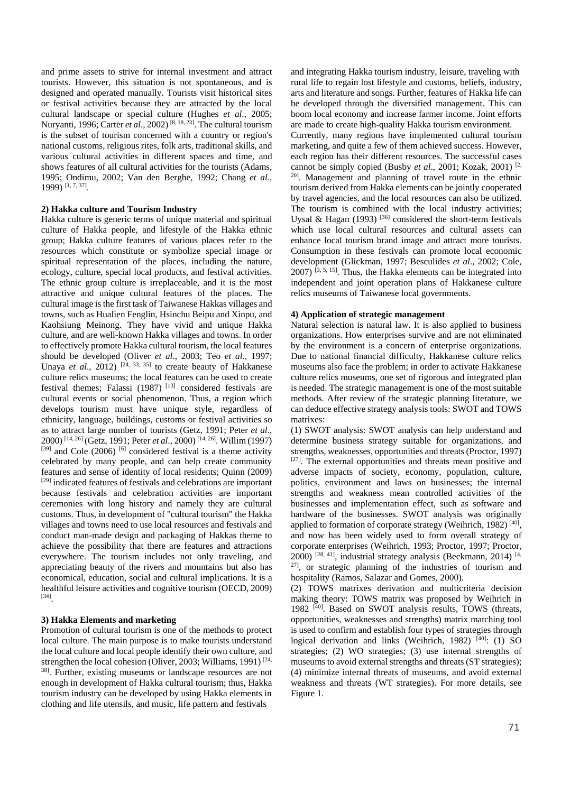and prime assets to strive for internal investment and attract tourists. However, this situation is not spontaneous, and is designed and operated manually. Tourists visit historical sites or festival activities because they are attracted by the local cultural landscape or special culture (Hughes *et al*., 2005; Nuryanti, 1996; Carter *et al.*, 2002)<sup>[8, 18, 23]. The cultural tourism</sup> is the subset of tourism concerned with a country or region's national customs, religious rites, folk arts, traditional skills, and various cultural activities in different spaces and time, and shows features of all cultural activities for the tourists (Adams, 1995; Ondimu, 2002; Van den Berghe, 1992; Chang *et al*., 1999) [1, 7, 37].

## **2) Hakka culture and Tourism Industry**

Hakka culture is generic terms of unique material and spiritual culture of Hakka people, and lifestyle of the Hakka ethnic group; Hakka culture features of various places refer to the resources which constitute or symbolize special image or spiritual representation of the places, including the nature, ecology, culture, special local products, and festival activities. The ethnic group culture is irreplaceable, and it is the most attractive and unique cultural features of the places. The cultural image is the first task of Taiwanese Hakkas villages and towns, such as Hualien Fenglin, Hsinchu Beipu and Xinpu, and Kaohsiung Meinong. They have vivid and unique Hakka culture, and are well-known Hakka villages and towns. In order to effectively promote Hakka cultural tourism, the local features should be developed (Oliver *et al*., 2003; Teo *et al*., 1997; Unaya *et al.*,  $2012$ )  $^{[24, 33, 35]}$  to create beauty of Hakkanese culture relics museums; the local features can be used to create festival themes; Falassi (1987)<sup>[13]</sup> considered festivals are cultural events or social phenomenon. Thus, a region which develops tourism must have unique style, regardless of ethnicity, language, buildings, customs or festival activities so as to attract large number of tourists (Getz, 1991; Peter *et al*., 2000) [14, 26] (Getz, 1991; Peter *et al*., 2000) [14, 26]. Willim (1997)  $[39]$  and Cole (2006)  $[6]$  considered festival is a theme activity celebrated by many people, and can help create community features and sense of identity of local residents; Quinn (2009) [29] indicated features of festivals and celebrations are important because festivals and celebration activities are important ceremonies with long history and namely they are cultural customs. Thus, in development of "cultural tourism" the Hakka villages and towns need to use local resources and festivals and conduct man-made design and packaging of Hakkas theme to achieve the possibility that there are features and attractions everywhere. The tourism includes not only traveling, and appreciating beauty of the rivers and mountains but also has economical, education, social and cultural implications. It is a healthful leisure activities and cognitive tourism (OECD, 2009) [34].

## **3) Hakka Elements and marketing**

Promotion of cultural tourism is one of the methods to protect local culture. The main purpose is to make tourists understand the local culture and local people identify their own culture, and strengthen the local cohesion (Oliver, 2003; Williams, 1991)<sup>[24,</sup> 38]. Further, existing museums or landscape resources are not enough in development of Hakka cultural tourism; thus, Hakka tourism industry can be developed by using Hakka elements in clothing and life utensils, and music, life pattern and festivals

and integrating Hakka tourism industry, leisure, traveling with rural life to regain lost lifestyle and customs, beliefs, industry, arts and literature and songs. Further, features of Hakka life can be developed through the diversified management. This can boom local economy and increase farmer income. Joint efforts are made to create high-quality Hakka tourism environment. Currently, many regions have implemented cultural tourism marketing, and quite a few of them achieved success. However, each region has their different resources. The successful cases cannot be simply copied (Busby *et al*., 2001; Kozak, 2001) [2, <sup>20]</sup>. Management and planning of travel route in the ethnic tourism derived from Hakka elements can be jointly cooperated by travel agencies, and the local resources can also be utilized. The tourism is combined with the local industry activities; Uysal & Hagan (1993)<sup>[36]</sup> considered the short-term festivals which use local cultural resources and cultural assets can enhance local tourism brand image and attract more tourists. Consumption in these festivals can promote local economic development (Glickman, 1997; Besculides *et al*., 2002; Cole,  $2007$ ) <sup>[3, 5, 15]</sup>. Thus, the Hakka elements can be integrated into independent and joint operation plans of Hakkanese culture relics museums of Taiwanese local governments.

## **4) Application of strategic management**

Natural selection is natural law. It is also applied to business organizations. How enterprises survive and are not eliminated by the environment is a concern of enterprise organizations. Due to national financial difficulty, Hakkanese culture relics museums also face the problem; in order to activate Hakkanese culture relics museums, one set of rigorous and integrated plan is needed. The strategic management is one of the most suitable methods. After review of the strategic planning literature, we can deduce effective strategy analysis tools: SWOT and TOWS matrixes:

(1) SWOT analysis: SWOT analysis can help understand and determine business strategy suitable for organizations, and strengths, weaknesses, opportunities and threats (Proctor, 1997) [27]. The external opportunities and threats mean positive and adverse impacts of society, economy, population, culture, politics, environment and laws on businesses; the internal strengths and weakness mean controlled activities of the businesses and implementation effect, such as software and hardware of the businesses. SWOT analysis was originally applied to formation of corporate strategy (Weihrich, 1982)<sup>[40]</sup>, and now has been widely used to form overall strategy of corporate enterprises (Weihrich, 1993; Proctor, 1997; Proctor, 2000)  $[28, 41]$ , industrial strategy analysis (Beckmann, 2014)  $[4, 4]$ <sup>27]</sup>, or strategic planning of the industries of tourism and hospitality (Ramos, Salazar and Gomes, 2000).

(2) TOWS matrixes derivation and multicriteria decision making theory: TOWS matrix was proposed by Weihrich in 1982<sup>[40]</sup>. Based on SWOT analysis results, TOWS (threats, opportunities, weaknesses and strengths) matrix matching tool is used to confirm and establish four types of strategies through logical derivation and links (Weihrich, 1982)<sup>[40]</sup>: (1) SO strategies; (2) WO strategies; (3) use internal strengths of museums to avoid external strengths and threats (ST strategies); (4) minimize internal threats of museums, and avoid external weakness and threats (WT strategies). For more details, see Figure 1.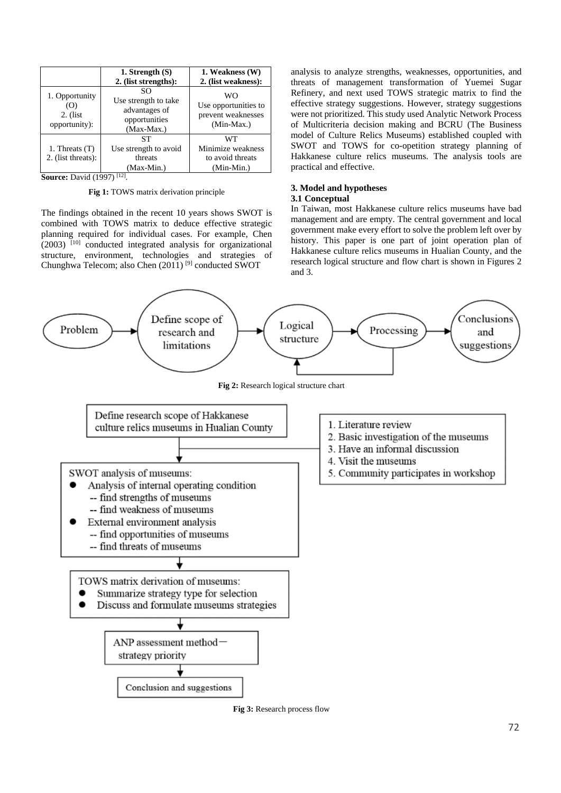|                                                       | 1. Strength $(S)$<br>2. (list strengths):                                  | 1. Weakness (W)<br>2. (list weakness):                         |
|-------------------------------------------------------|----------------------------------------------------------------------------|----------------------------------------------------------------|
| 1. Opportunity<br>(O)<br>$2.$ (list)<br>opportunity): | SO<br>Use strength to take<br>advantages of<br>opportunities<br>(Max-Max.) | WΟ<br>Use opportunities to<br>prevent weaknesses<br>(Min-Max.) |
| 1. Threats $(T)$<br>2. (list threats):                | SТ<br>Use strength to avoid<br>threats<br>(Max-Min.)                       | WТ<br>Minimize weakness<br>to avoid threats<br>(Min-Min.)      |

**Source:** David (1997) [12].

**Fig 1:** TOWS matrix derivation principle

The findings obtained in the recent 10 years shows SWOT is combined with TOWS matrix to deduce effective strategic planning required for individual cases. For example, Chen  $(2003)$ <sup>[10]</sup> conducted integrated analysis for organizational structure, environment, technologies and strategies of Chunghwa Telecom; also Chen (2011) [9] conducted SWOT

analysis to analyze strengths, weaknesses, opportunities, and threats of management transformation of Yuemei Sugar Refinery, and next used TOWS strategic matrix to find the effective strategy suggestions. However, strategy suggestions were not prioritized. This study used Analytic Network Process of Multicriteria decision making and BCRU (The Business model of Culture Relics Museums) established coupled with SWOT and TOWS for co-opetition strategy planning of Hakkanese culture relics museums. The analysis tools are practical and effective.

# **3. Model and hypotheses**

# **3.1 Conceptual**

In Taiwan, most Hakkanese culture relics museums have bad management and are empty. The central government and local government make every effort to solve the problem left over by history. This paper is one part of joint operation plan of Hakkanese culture relics museums in Hualian County, and the research logical structure and flow chart is shown in Figures 2 and 3.



**Fig 3:** Research process flow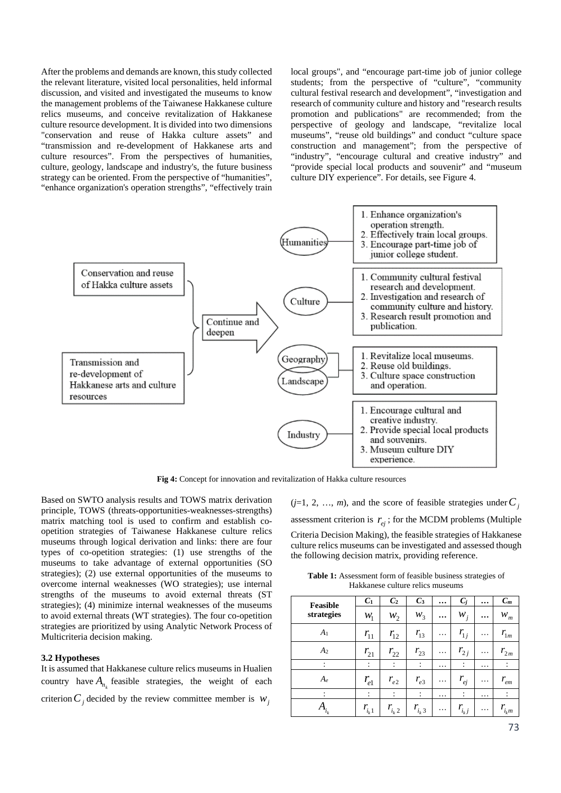After the problems and demands are known, this study collected the relevant literature, visited local personalities, held informal discussion, and visited and investigated the museums to know the management problems of the Taiwanese Hakkanese culture relics museums, and conceive revitalization of Hakkanese culture resource development. It is divided into two dimensions "conservation and reuse of Hakka culture assets" and "transmission and re-development of Hakkanese arts and culture resources". From the perspectives of humanities, culture, geology, landscape and industry's, the future business strategy can be oriented. From the perspective of "humanities", "enhance organization's operation strengths", "effectively train local groups", and "encourage part-time job of junior college students; from the perspective of "culture", "community cultural festival research and development", "investigation and research of community culture and history and "research results promotion and publications" are recommended; from the perspective of geology and landscape, "revitalize local museums", "reuse old buildings" and conduct "culture space construction and management"; from the perspective of "industry", "encourage cultural and creative industry" and "provide special local products and souvenir" and "museum culture DIY experience". For details, see Figure 4.



**Fig 4:** Concept for innovation and revitalization of Hakka culture resources

Based on SWTO analysis results and TOWS matrix derivation principle, TOWS (threats-opportunities-weaknesses-strengths) matrix matching tool is used to confirm and establish coopetition strategies of Taiwanese Hakkanese culture relics museums through logical derivation and links: there are four types of co-opetition strategies: (1) use strengths of the museums to take advantage of external opportunities (SO strategies); (2) use external opportunities of the museums to overcome internal weaknesses (WO strategies); use internal strengths of the museums to avoid external threats (ST strategies); (4) minimize internal weaknesses of the museums to avoid external threats (WT strategies). The four co-opetition strategies are prioritized by using Analytic Network Process of Multicriteria decision making.

# **3.2 Hypotheses**

It is assumed that Hakkanese culture relics museums in Hualien country have  $A_n$  feasible strategies, the weight of each criterion  $C_i$  decided by the review committee member is  $W_i$ 

 $(j=1, 2, ..., m)$ , and the score of feasible strategies under  $C_j$ assessment criterion is  $r_{ei}$ ; for the MCDM problems (Multiple Criteria Decision Making), the feasible strategies of Hakkanese culture relics museums can be investigated and assessed though the following decision matrix, providing reference.

**Table 1:** Assessment form of feasible business strategies of Hakkanese culture relics museums

| Feasible       | C <sub>1</sub>  | C <sub>2</sub>       | $C_3$                | $\cdots$ | $C_i$          | $\cdots$ | $C_m$          |
|----------------|-----------------|----------------------|----------------------|----------|----------------|----------|----------------|
| strategies     | $W_1$           | $W_2$                | $W_3$                | $\cdots$ | $W_j$          | $\cdots$ | $W_m$          |
| A <sub>1</sub> | $r_{11}$        | $r_{12}$             | $r_{13}$             | .        | $r_{1j}$       | .        | $r_{1m}$       |
| A <sub>2</sub> | $r_{21}$        | $r_{22}$             | $r_{23}$             | $\cdots$ | $r_{2j}$       | $\cdots$ | $r_{2m}$       |
|                | ٠<br>$\epsilon$ | ٠<br>$\bullet$       | $\ddot{\phantom{a}}$ | .        | $\ddot{\cdot}$ | .        | $\ddot{\cdot}$ |
| $A_e$          | $r_{e1}$        | $r_{e2}$             | $r_{e3}$             | $\cdots$ | $r_{ej}$       | .        | $r_{em}$       |
|                | ÷               | $\ddot{\phantom{a}}$ | $\ddot{\cdot}$       | .        | :              | .        | $\ddot{\cdot}$ |
| $A_{i_k}$      | $r_{i_k 1}$     | $r_{i_k 2}$          | $r_{i_k 3}$          | $\cdots$ | $r_{i_k j}$    | .        | $r_{i_k m}$    |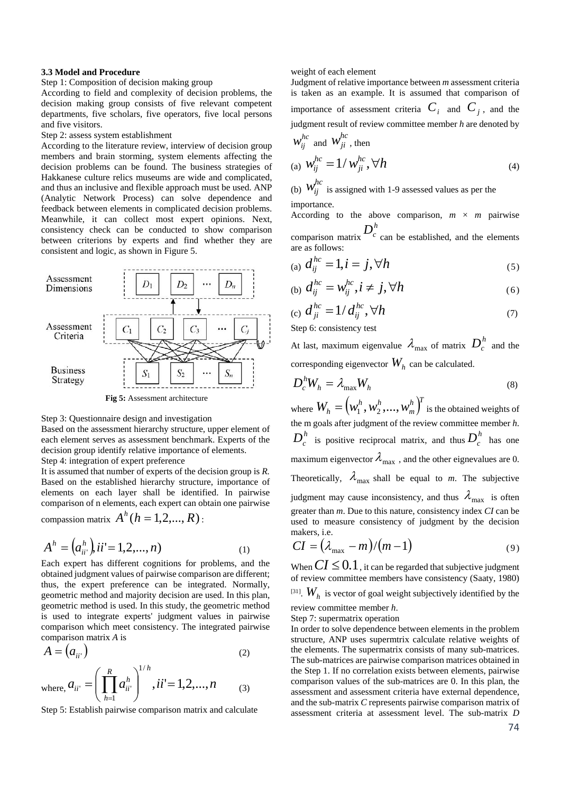# **3.3 Model and Procedure**

# Step 1: Composition of decision making group

According to field and complexity of decision problems, the decision making group consists of five relevant competent departments, five scholars, five operators, five local persons and five visitors.

#### Step 2: assess system establishment

According to the literature review, interview of decision group members and brain storming, system elements affecting the decision problems can be found. The business strategies of Hakkanese culture relics museums are wide and complicated, and thus an inclusive and flexible approach must be used. ANP (Analytic Network Process) can solve dependence and feedback between elements in complicated decision problems. Meanwhile, it can collect most expert opinions. Next, consistency check can be conducted to show comparison between criterions by experts and find whether they are consistent and logic, as shown in Figure 5.



**Fig 5:** Assessment architecture

#### Step 3: Questionnaire design and investigation

Based on the assessment hierarchy structure, upper element of each element serves as assessment benchmark. Experts of the decision group identify relative importance of elements.

Step 4: integration of expert preference

It is assumed that number of experts of the decision group is *R.*  Based on the established hierarchy structure, importance of elements on each layer shall be identified. In pairwise comparison of n elements, each expert can obtain one pairwise

compassion matrix  $A^h$  ( $h = 1, 2, ..., R$ ) :

$$
Ah = (ahii') , ii' = 1, 2, ..., n)
$$
 (1)

Each expert has different cognitions for problems, and the obtained judgment values of pairwise comparison are different; thus, the expert preference can be integrated. Normally, geometric method and majority decision are used. In this plan, geometric method is used. In this study, the geometric method is used to integrate experts' judgment values in pairwise comparison which meet consistency. The integrated pairwise comparison matrix *A* is

$$
A = (a_{ii})
$$
 (2)

where, 
$$
a_{ii'} = \left(\prod_{h=1}^R a_{ii'}^h\right)^{1/h}
$$
,  $ii' = 1, 2, ..., n$  (3)

Step 5: Establish pairwise comparison matrix and calculate

#### weight of each element

Judgment of relative importance between *m* assessment criteria is taken as an example. It is assumed that comparison of importance of assessment criteria  $C_i$  and  $C_j$ , and the judgment result of review committee member *h* are denoted by  $h$ <sup>*kc*</sup>  $\mu$ <sup>hc</sup>

$$
w_{ij} \text{ and } w_{ji} \text{, then}
$$
  
(a) 
$$
w_{ij}^{hc} = 1/w_{ji}^{hc}, \forall h
$$
 (4)

(b)  $W_{ij}^{hc}$  is assigned with 1-9 assessed values as per the importance.

According to the above comparison,  $m \times m$  pairwise comparison matrix  $D_c^h$  can be established, and the elements are as follows:

(a) 
$$
d_{ij}^{hc} = 1, i = j, \forall h
$$
 (5)

$$
(b) d_{ij}^{hc} = w_{ij}^{hc}, i \neq j, \forall h
$$
 (6)

(c) 
$$
d_{ji}^{hc} = 1/d_{ij}^{hc}, \forall h
$$
 (7)

Step 6: consistency test

At last, maximum eigenvalue  $\lambda_{\text{max}}$  of matrix  $D_c^h$  and the corresponding eigenvector  $W<sub>h</sub>$  can be calculated.

$$
D_c^h W_h = \lambda_{\text{max}} W_h \tag{8}
$$

where  $W_h = (w_1^h, w_2^h, ..., w_m^h)^T$  $W_h = \left(w_1^h, w_2^h, ..., w_m^h\right)^t$  is the obtained weights of the m goals after judgment of the review committee member *h*.  $D_c^h$  is positive reciprocal matrix, and thus  $D_c^h$  has one maximum eigenvector  $\lambda_{\text{max}}$ , and the other eignevalues are 0. Theoretically,  $\lambda_{\text{max}}$  shall be equal to *m*. The subjective judgment may cause inconsistency, and thus  $\lambda_{\text{max}}$  is often greater than *m*. Due to this nature, consistency index *CI* can be used to measure consistency of judgment by the decision makers, i.e.

$$
CI = (\lambda_{\text{max}} - m)/(m-1) \tag{9}
$$

When  $CI \leq 0.1$ , it can be regarded that subjective judgment of review committee members have consistency (Saaty, 1980)

<sup>[31]</sup>.  $W<sub>h</sub>$  is vector of goal weight subjectively identified by the review committee member *h*.

Step 7: supermatrix operation

In order to solve dependence between elements in the problem structure, ANP uses supermtrix calculate relative weights of the elements. The supermatrix consists of many sub-matrices. The sub-matrices are pairwise comparison matrices obtained in the Step 1. If no correlation exists between elements, pairwise comparison values of the sub-matrices are 0. In this plan, the assessment and assessment criteria have external dependence, and the sub-matrix *C* represents pairwise comparison matrix of assessment criteria at assessment level. The sub-matrix *D*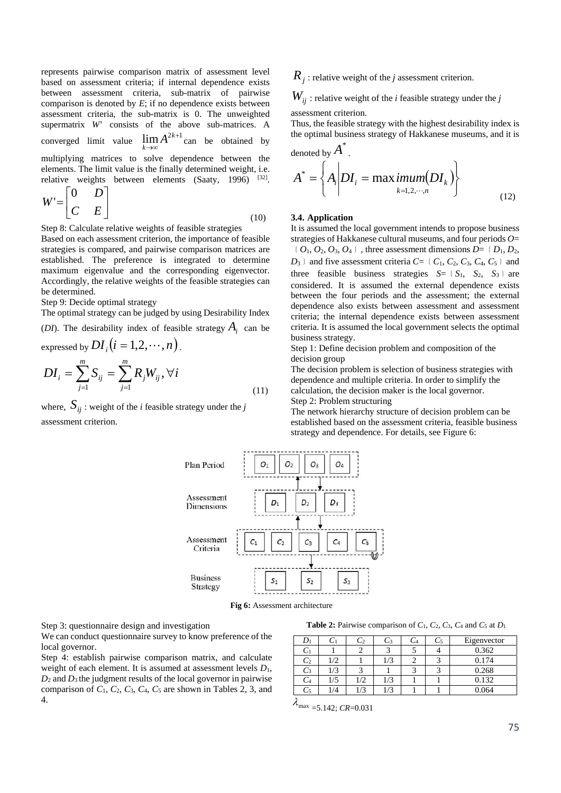represents pairwise comparison matrix of assessment level based on assessment criteria; if internal dependence exists between assessment criteria, sub-matrix of pairwise comparison is denoted by *E*; if no dependence exists between assessment criteria, the sub-matrix is 0. The unweighted supermatrix *W*' consists of the above sub-matrices. A converged limit value  $\lim_{k\to\infty} A^{2k+1}$ *k*  $\lim_{k \to \infty} A^{2k+1}$  can be obtained by multiplying matrices to solve dependence between the elements. The limit value is the finally determined weight, i.e. relative weights between elements (Saaty, 1996) [32].

$$
W' = \begin{bmatrix} 0 & D \\ C & E \end{bmatrix} \tag{10}
$$

Step 8: Calculate relative weights of feasible strategies

Based on each assessment criterion, the importance of feasible strategies is compared, and pairwise comparison matrices are established. The preference is integrated to determine maximum eigenvalue and the corresponding eigenvector. Accordingly, the relative weights of the feasible strategies can be determined.

Step 9: Decide optimal strategy

The optimal strategy can be judged by using Desirability Index

(*DI*). The desirability index of feasible strategy  $A_i$  can be

expressed by 
$$
DI_i
$$
  $(i = 1, 2, \dots, n)$ .  
\n
$$
DI_i = \sum_{j=1}^{m} S_{ij} = \sum_{j=1}^{m} R_j W_{ij}, \forall i
$$
\n(11)

where,  $S_{ii}$ : weight of the *i* feasible strategy under the *j* assessment criterion.

 $R_i$ : relative weight of the *j* assessment criterion.

 $W_{ii}$ : relative weight of the *i* feasible strategy under the *j* 

assessment criterion.

Thus, the feasible strategy with the highest desirability index is the optimal business strategy of Hakkanese museums, and it is

denoted by 
$$
A^*
$$
.  
\n
$$
A^* = \left\{ A_i \middle| DI_i = \max_{k=1,2,\cdots,n} \text{imum}(DI_k) \right\}
$$
\n(12)

#### **3.4. Application**

It is assumed the local government intends to propose business strategies of Hakkanese cultural museums, and four periods *O*=  $\{O_1, O_2, O_3, O_4\}$ , three assessment dimensions  $D = \{D_1, D_2,$  $D_3$  and five assessment criteria  $C = \{C_1, C_2, C_3, C_4, C_5\}$  and three feasible business strategies  $S = \{S_1, S_2, S_3\}$  are considered. It is assumed the external dependence exists between the four periods and the assessment; the external dependence also exists between assessment and assessment criteria; the internal dependence exists between assessment criteria. It is assumed the local government selects the optimal business strategy.

Step 1: Define decision problem and composition of the decision group

The decision problem is selection of business strategies with dependence and multiple criteria. In order to simplify the calculation, the decision maker is the local governor. Step 2: Problem structuring

The network hierarchy structure of decision problem can be established based on the assessment criteria, feasible business strategy and dependence. For details, see Figure 6:



**Fig 6:** Assessment architecture

Step 3: questionnaire design and investigation

We can conduct questionnaire survey to know preference of the local governor.

Step 4: establish pairwise comparison matrix, and calculate weight of each element. It is assumed at assessment levels *D*1,  $D_2$  and  $D_3$  the judgment results of the local governor in pairwise comparison of  $C_1$ ,  $C_2$ ,  $C_3$ ,  $C_4$ ,  $C_5$  are shown in Tables 2, 3, and 4.

**Table 2:** Pairwise comparison of  $C_1$ ,  $C_2$ ,  $C_3$ ,  $C_4$  and  $C_5$  at  $D_1$ 

|                |     | $-2$ | C3            | U5 | Eigenvector |
|----------------|-----|------|---------------|----|-------------|
|                |     |      |               |    | 0.362       |
| $\mathsf{C}_2$ | 1/2 |      | 1/3           |    | 0.174       |
| C3             | 1/3 |      |               |    | 0.268       |
| -4             | 1/5 | 1/2  | 1/3           |    | 0.132       |
|                | /4  | /3   | $\frac{1}{3}$ |    | 0.064       |

 $\lambda_{\text{max}}$  =5.142; *CR*=0.031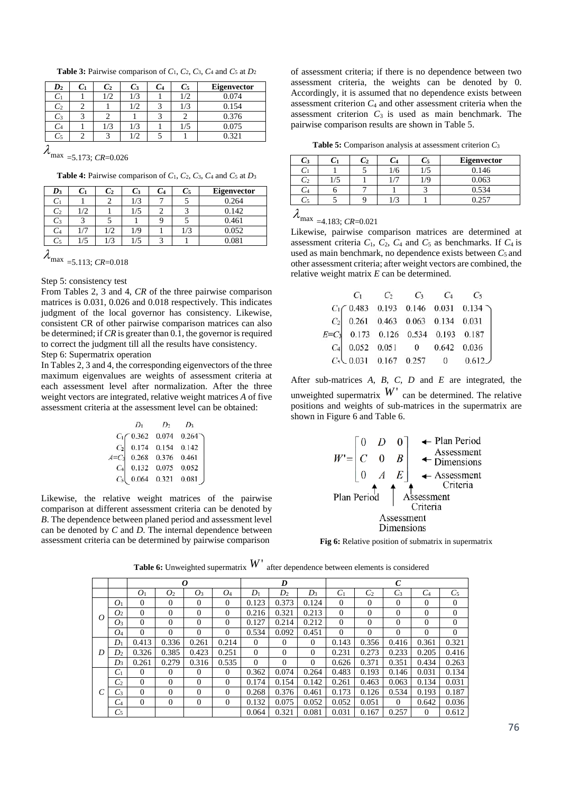**Table 3:** Pairwise comparison of  $C_1$ ,  $C_2$ ,  $C_3$ ,  $C_4$  and  $C_5$  at  $D_2$ 

| $\bm{D_2}$      | $\mathcal{C}_1$ | $C_2$ | $\mathcal{C}_3$ | U4 | U5  | Eigenvector |
|-----------------|-----------------|-------|-----------------|----|-----|-------------|
| $\mathcal{C}_1$ |                 |       | 1/3             |    | 1/2 | 0.074       |
| $\mathbb{C}_2$  |                 |       | $\frac{1}{2}$   |    | 1/3 | 0.154       |
| C3              |                 |       |                 |    |     | 0.376       |
| Ŭ4              |                 | 1/3   | 1/3             |    | 1/5 | 0.075       |
| U5              |                 |       |                 |    |     | ) 321       |

 $\lambda_{\text{max}}$  =5.173; *CR*=0.026

**Table 4:** Pairwise comparison of *C*1, *C*2, *C*3, *C*4 and *C*5 at *D*<sup>3</sup>

| $\boldsymbol{D_3}$ |    | $C_2$ | U3  | Ľ4 | $C_5$ | Eigenvector |
|--------------------|----|-------|-----|----|-------|-------------|
| U                  |    |       | 1/3 |    |       | 0.264       |
| $\mathsf{C}_2$     | /2 |       | 1/5 |    |       | 0.142       |
| C3                 |    |       |     |    |       | 0.461       |
|                    |    | 1/2   | 1/9 |    | 1/3   | 0.052       |
| C5                 | /5 | 1/3   | 1/5 |    |       | 0.081       |
| $\blacktriangle$   |    |       |     |    |       |             |

 $\lambda_{\text{max}}$  =5.113; *CR*=0.018

#### Step 5: consistency test

From Tables 2, 3 and 4, *CR* of the three pairwise comparison matrices is 0.031, 0.026 and 0.018 respectively. This indicates judgment of the local governor has consistency. Likewise, consistent CR of other pairwise comparison matrices can also be determined; if *CR* is greater than 0.1, the governor is required to correct the judgment till all the results have consistency. Step 6: Supermatrix operation

In Tables 2, 3 and 4, the corresponding eigenvectors of the three maximum eigenvalues are weights of assessment criteria at each assessment level after normalization. After the three weight vectors are integrated, relative weight matrices *A* of five assessment criteria at the assessment level can be obtained:

|                | $D_1$              | D <sub>2</sub> | $D_3$ |
|----------------|--------------------|----------------|-------|
|                | $C_1 \, C_2$ 0.362 | 0.074          | 0.264 |
| $C_2$          | 0.174              | 0.154          | 0.142 |
| $A=C_3$        | 0.268              | 0.376          | 0.461 |
| C <sub>4</sub> | 0.132              | 0.075          | 0.052 |
| $C_{5}$        | 0.064              | 0.321          | 0.081 |

Likewise, the relative weight matrices of the pairwise comparison at different assessment criteria can be denoted by *B*. The dependence between planed period and assessment level can be denoted by *C* and *D*. The internal dependence between assessment criteria can be determined by pairwise comparison

of assessment criteria; if there is no dependence between two assessment criteria, the weights can be denoted by 0. Accordingly, it is assumed that no dependence exists between assessment criterion *C*4 and other assessment criteria when the assessment criterion  $C_3$  is used as main benchmark. The pairwise comparison results are shown in Table 5.

**Table 5:** Comparison analysis at assessment criterion *C*<sup>3</sup>

| $\mathcal{C}_3$ |  | U4  | U5  | Eigenvector |
|-----------------|--|-----|-----|-------------|
|                 |  | 1/6 | 1/5 | 0.146       |
| U2              |  |     | /S  | 0.063       |
|                 |  |     |     | 0.534       |
|                 |  |     |     | 0.257       |

 $\lambda_{\text{max}}$  =4.183; *CR*=0.021

Likewise, pairwise comparison matrices are determined at assessment criteria  $C_1$ ,  $C_2$ ,  $C_4$  and  $C_5$  as benchmarks. If  $C_4$  is used as main benchmark, no dependence exists between  $C_5$  and other assessment criteria; after weight vectors are combined, the relative weight matrix *E* can be determined.

|                                       |  | $C_1$ $C_2$ $C_3$ $C_4$ $C_5$                                                    |
|---------------------------------------|--|----------------------------------------------------------------------------------|
|                                       |  |                                                                                  |
|                                       |  | $C_1$ 0.483 0.193 0.146 0.031 0.134 c <sub>2</sub> 0.261 0.463 0.063 0.134 0.031 |
| $E=C_3$ 0.173 0.126 0.534 0.193 0.187 |  |                                                                                  |
|                                       |  | $C_4$ 0.052 0.051 0 0.642 0.036<br>$C_5$ 0.031 0.167 0.257 0 0.612               |
|                                       |  |                                                                                  |

After sub-matrices *A*, *B*, *C*, *D* and *E* are integrated, the unweighted supermatrix  $W'$  can be determined. The relative positions and weights of sub-matrices in the supermatrix are shown in Figure 6 and Table 6.



**Fig 6:** Relative position of submatrix in supermatrix

|   |                |                |                | 0              |                |                | D              |              | $\mathcal C$ |                |              |                |                |
|---|----------------|----------------|----------------|----------------|----------------|----------------|----------------|--------------|--------------|----------------|--------------|----------------|----------------|
|   |                | O <sub>1</sub> | O <sub>2</sub> | O <sub>3</sub> | O <sub>4</sub> | $D_1$          | D <sub>2</sub> | $D_3$        | $C_1$        | C <sub>2</sub> | $C_3$        | $C_4$          | $C_5$          |
|   | O <sub>1</sub> | $\Omega$       | $\Omega$       | $\Omega$       | $\theta$       | 0.123          | 0.373          | 0.124        | $\mathbf{0}$ | $\Omega$       | $\Omega$     | $\Omega$       | $\overline{0}$ |
| 0 | O <sub>2</sub> | $\Omega$       | $\Omega$       | $\theta$       | $\Omega$       | 0.216          | 0.321          | 0.213        | $\mathbf{0}$ | $\Omega$       | $\Omega$     | $\Omega$       | $\overline{0}$ |
|   | $O_3$          | $\Omega$       | $\overline{0}$ | $\theta$       | $\mathbf{0}$   | 0.127          | 0.214          | 0.212        | $\mathbf{0}$ | $\theta$       | $\theta$     | $\overline{0}$ | $\mathbf{0}$   |
|   | $O_4$          | $\Omega$       | $\Omega$       | $\Omega$       | $\Omega$       | 0.534          | 0.092          | 0.451        | $\Omega$     | $\Omega$       | $\Omega$     | $\Omega$       | $\overline{0}$ |
|   | $D_1$          | 0.413          | 0.336          | 0.261          | 0.214          | $\Omega$       | $\theta$       | $\Omega$     | 0.143        | 0.356          | 0.416        | 0.361          | 0.321          |
| D | D <sub>2</sub> | 0.326          | 0.385          | 0.423          | 0.251          | $\overline{0}$ | $\mathbf{0}$   | $\mathbf{0}$ | 0.231        | 0.273          | 0.233        | 0.205          | 0.416          |
|   | $D_3$          | 0.261          | 0.279          | 0.316          | 0.535          | $\Omega$       | $\Omega$       | $\Omega$     | 0.626        | 0.371          | 0.351        | 0.434          | 0.263          |
|   | $C_1$          | $\Omega$       | $\Omega$       | $\Omega$       | $\mathbf{0}$   | 0.362          | 0.074          | 0.264        | 0.483        | 0.193          | 0.146        | 0.031          | 0.134          |
|   | C <sub>2</sub> | $\Omega$       | $\Omega$       | $\Omega$       | $\Omega$       | 0.174          | 0.154          | 0.142        | 0.261        | 0.463          | 0.063        | 0.134          | 0.031          |
|   | $C_3$          | $\Omega$       | $\Omega$       | $\Omega$       | $\theta$       | 0.268          | 0.376          | 0.461        | 0.173        | 0.126          | 0.534        | 0.193          | 0.187          |
|   | $C_4$          | $\Omega$       | $\overline{0}$ | $\overline{0}$ | $\mathbf{0}$   | 0.132          | 0.075          | 0.052        | 0.052        | 0.051          | $\mathbf{0}$ | 0.642          | 0.036          |
|   | $C_5$          |                |                |                |                | 0.064          | 0.321          | 0.081        | 0.031        | 0.167          | 0.257        | $\theta$       | 0.612          |

**Table 6:** Unweighted supermatrix  $W'$  after dependence between elements is considered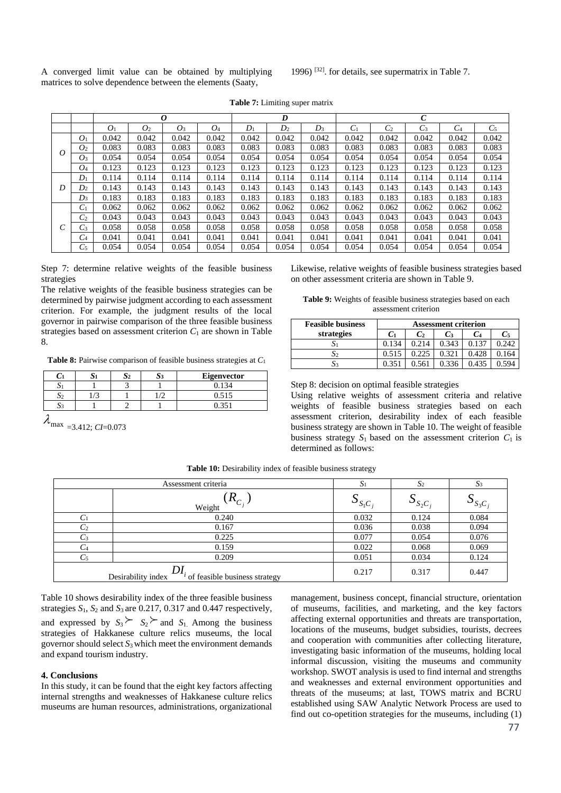A converged limit value can be obtained by multiplying matrices to solve dependence between the elements (Saaty,

1996) [32]. for details, see supermatrix in Table 7.

|         |                | 0              |                |       |       | D     |       |       | C     |                |       |       |       |
|---------|----------------|----------------|----------------|-------|-------|-------|-------|-------|-------|----------------|-------|-------|-------|
|         |                | O <sub>1</sub> | O <sub>2</sub> | $O_3$ | O4    | $D_1$ | $D_2$ | $D_3$ | $C_1$ | C <sub>2</sub> | $C_3$ | $C_4$ | $C_5$ |
|         | O <sub>1</sub> | 0.042          | 0.042          | 0.042 | 0.042 | 0.042 | 0.042 | 0.042 | 0.042 | 0.042          | 0.042 | 0.042 | 0.042 |
| Ω       | O <sub>2</sub> | 0.083          | 0.083          | 0.083 | 0.083 | 0.083 | 0.083 | 0.083 | 0.083 | 0.083          | 0.083 | 0.083 | 0.083 |
|         | O <sub>3</sub> | 0.054          | 0.054          | 0.054 | 0.054 | 0.054 | 0.054 | 0.054 | 0.054 | 0.054          | 0.054 | 0.054 | 0.054 |
|         | O <sub>4</sub> | 0.123          | 0.123          | 0.123 | 0.123 | 0.123 | 0.123 | 0.123 | 0.123 | 0.123          | 0.123 | 0.123 | 0.123 |
|         | $D_1$          | 0.114          | 0.114          | 0.114 | 0.114 | 0.114 | 0.114 | 0.114 | 0.114 | 0.114          | 0.114 | 0.114 | 0.114 |
| D       | D <sub>2</sub> | 0.143          | 0.143          | 0.143 | 0.143 | 0.143 | 0.143 | 0.143 | 0.143 | 0.143          | 0.143 | 0.143 | 0.143 |
|         | $D_3$          | 0.183          | 0.183          | 0.183 | 0.183 | 0.183 | 0.183 | 0.183 | 0.183 | 0.183          | 0.183 | 0.183 | 0.183 |
|         | $C_1$          | 0.062          | 0.062          | 0.062 | 0.062 | 0.062 | 0.062 | 0.062 | 0.062 | 0.062          | 0.062 | 0.062 | 0.062 |
|         | C <sub>2</sub> | 0.043          | 0.043          | 0.043 | 0.043 | 0.043 | 0.043 | 0.043 | 0.043 | 0.043          | 0.043 | 0.043 | 0.043 |
| ⌒<br>ι. | $C_3$          | 0.058          | 0.058          | 0.058 | 0.058 | 0.058 | 0.058 | 0.058 | 0.058 | 0.058          | 0.058 | 0.058 | 0.058 |
|         | C <sub>4</sub> | 0.041          | 0.041          | 0.041 | 0.041 | 0.041 | 0.041 | 0.041 | 0.041 | 0.041          | 0.041 | 0.041 | 0.041 |
|         | $C_5$          | 0.054          | 0.054          | 0.054 | 0.054 | 0.054 | 0.054 | 0.054 | 0.054 | 0.054          | 0.054 | 0.054 | 0.054 |

**Table 7:** Limiting super matrix

Step 7: determine relative weights of the feasible business strategies

The relative weights of the feasible business strategies can be determined by pairwise judgment according to each assessment criterion. For example, the judgment results of the local governor in pairwise comparison of the three feasible business strategies based on assessment criterion  $C_1$  are shown in Table 8.

**Table 8:** Pairwise comparison of feasible business strategies at *C*<sup>1</sup>

|   |  | <b>Eigenvector</b> |
|---|--|--------------------|
| ້ |  |                    |
|   |  | 0.515              |
|   |  | $\sim$ $\sim$      |

 $\lambda_{\text{max}}$  =3.412; *CI*=0.073

Likewise, relative weights of feasible business strategies based on other assessment criteria are shown in Table 9.

**Table 9:** Weights of feasible business strategies based on each assessment criterion

| <b>Feasible business</b> | <b>Assessment criterion</b> |                |       |                |       |  |  |  |  |
|--------------------------|-----------------------------|----------------|-------|----------------|-------|--|--|--|--|
| strategies               | C <sub>1</sub>              | C <sub>2</sub> | Cз    | C <sub>4</sub> | $C_5$ |  |  |  |  |
|                          | 0.134                       | 0.214          | 0.343 |                | 0.242 |  |  |  |  |
| OС                       | 0.515                       | 0.225          | 0.321 | 0.428          | 0.164 |  |  |  |  |
|                          | 0.351                       |                |       | 0.435          |       |  |  |  |  |

Step 8: decision on optimal feasible strategies

Using relative weights of assessment criteria and relative weights of feasible business strategies based on each assessment criterion, desirability index of each feasible business strategy are shown in Table 10. The weight of feasible business strategy  $S_1$  based on the assessment criterion  $C_1$  is determined as follows:

| Assessment criteria                                              |                       | $S_1$        | S <sub>2</sub>        | S <sub>3</sub>       |
|------------------------------------------------------------------|-----------------------|--------------|-----------------------|----------------------|
|                                                                  | $(R_{C_i})$<br>Weight | $S_{S_1C_i}$ | $\mathbf{v}_{S_2C_i}$ | $\mathcal{L}_{S_3C}$ |
| C <sub>1</sub>                                                   | 0.240                 | 0.032        | 0.124                 | 0.084                |
| C <sub>2</sub>                                                   | 0.167                 | 0.036        | 0.038                 | 0.094                |
| $C_3$                                                            | 0.225                 | 0.077        | 0.054                 | 0.076                |
| $C_4$                                                            | 0.159                 | 0.022        | 0.068                 | 0.069                |
| $C_5$                                                            | 0.209                 | 0.051        | 0.034                 | 0.124                |
| ונו<br>Desirability index<br>$\mu$ of feasible business strategy |                       | 0.217        | 0.317                 | 0.447                |

**Table 10:** Desirability index of feasible business strategy

Table 10 shows desirability index of the three feasible business strategies  $S_1$ ,  $S_2$  and  $S_3$  are 0.217, 0.317 and 0.447 respectively, and expressed by  $S_3 \succeq S_2 \succeq$  and  $S_1$ . Among the business strategies of Hakkanese culture relics museums, the local governor should select *S*3 which meet the environment demands and expand tourism industry.

# **4. Conclusions**

In this study, it can be found that the eight key factors affecting internal strengths and weaknesses of Hakkanese culture relics museums are human resources, administrations, organizational management, business concept, financial structure, orientation of museums, facilities, and marketing, and the key factors affecting external opportunities and threats are transportation, locations of the museums, budget subsidies, tourists, decrees and cooperation with communities after collecting literature, investigating basic information of the museums, holding local informal discussion, visiting the museums and community workshop. SWOT analysis is used to find internal and strengths and weaknesses and external environment opportunities and threats of the museums; at last, TOWS matrix and BCRU established using SAW Analytic Network Process are used to find out co-opetition strategies for the museums, including (1)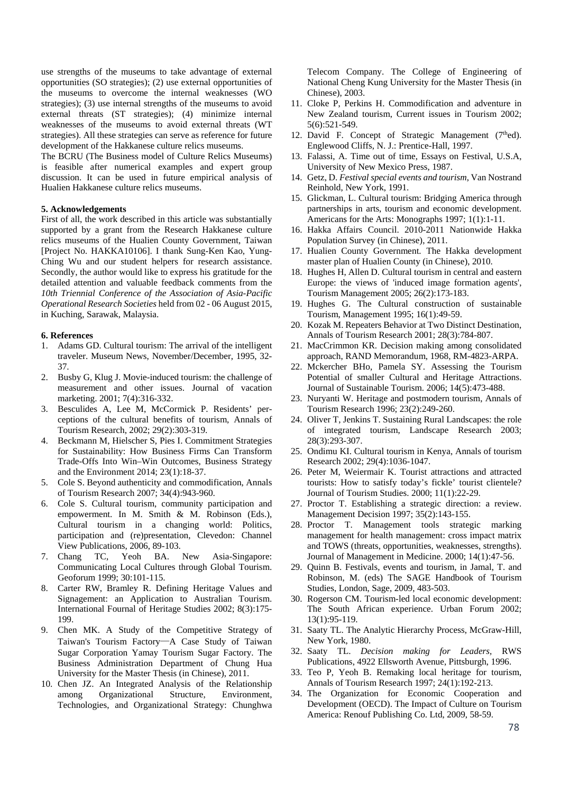use strengths of the museums to take advantage of external opportunities (SO strategies); (2) use external opportunities of the museums to overcome the internal weaknesses (WO strategies); (3) use internal strengths of the museums to avoid external threats (ST strategies); (4) minimize internal weaknesses of the museums to avoid external threats (WT strategies). All these strategies can serve as reference for future development of the Hakkanese culture relics museums.

The BCRU (The Business model of Culture Relics Museums) is feasible after numerical examples and expert group discussion. It can be used in future empirical analysis of Hualien Hakkanese culture relics museums.

## **5. Acknowledgements**

First of all, the work described in this article was substantially supported by a grant from the Research Hakkanese culture relics museums of the Hualien County Government, Taiwan [Project No. HAKKA10106]. I thank Sung-Ken Kao, Yung-Ching Wu and our student helpers for research assistance. Secondly, the author would like to express his gratitude for the detailed attention and valuable feedback comments from the *10th Triennial Conference of the Association of Asia-Pacific Operational Research Societies* held from 02 - 06 August 2015, in Kuching, Sarawak, Malaysia.

# **6. References**

- 1. Adams GD. Cultural tourism: The arrival of the intelligent traveler. Museum News, November/December, 1995, 32- 37.
- 2. Busby G, Klug J. Movie-induced tourism: the challenge of measurement and other issues. Journal of vacation marketing. 2001; 7(4):316-332.
- 3. Besculides A, Lee M, McCormick P. Residents' perceptions of the cultural benefits of tourism, Annals of Tourism Research, 2002; 29(2):303-319.
- 4. Beckmann M, Hielscher S, Pies I. Commitment Strategies for Sustainability: How Business Firms Can Transform Trade-Offs Into Win–Win Outcomes, Business Strategy and the Environment 2014; 23(1):18-37.
- 5. Cole S. Beyond authenticity and commodification, Annals of Tourism Research 2007; 34(4):943-960.
- 6. Cole S. Cultural tourism, community participation and empowerment. In M. Smith & M. Robinson (Eds.), Cultural tourism in a changing world: Politics, participation and (re)presentation, Clevedon: Channel View Publications, 2006, 89-103.<br>7. Chang TC, Yeoh BA.
- TC, Yeoh BA. New Asia-Singapore: Communicating Local Cultures through Global Tourism. Geoforum 1999; 30:101-115.
- 8. Carter RW, Bramley R. Defining Heritage Values and Signagement: an Application to Australian Tourism. International Fournal of Heritage Studies 2002; 8(3):175- 199.
- 9. Chen MK. A Study of the Competitive Strategy of Taiwan's Tourism Factory─A Case Study of Taiwan Sugar Corporation Yamay Tourism Sugar Factory. The Business Administration Department of Chung Hua University for the Master Thesis (in Chinese), 2011.
- 10. Chen JZ. An Integrated Analysis of the Relationship among Organizational Structure, Environment, Technologies, and Organizational Strategy: Chunghwa

Telecom Company. The College of Engineering of National Cheng Kung University for the Master Thesis (in Chinese), 2003.

- 11. Cloke P, Perkins H. Commodification and adventure in New Zealand tourism, Current issues in Tourism 2002; 5(6):521-549.
- 12. David F. Concept of Strategic Management  $(7<sup>th</sup>ed)$ . Englewood Cliffs, N. J.: Prentice-Hall, 1997.
- 13. Falassi, A. Time out of time, Essays on Festival, U.S.A, University of New Mexico Press, 1987.
- 14. Getz, D. *Festival special events and tourism*, Van Nostrand Reinhold, New York, 1991.
- 15. Glickman, L. Cultural tourism: Bridging America through partnerships in arts, tourism and economic development. Americans for the Arts: Monographs 1997; 1(1):1-11.
- 16. Hakka Affairs Council. 2010-2011 Nationwide Hakka Population Survey (in Chinese), 2011.
- 17. Hualien County Government. The Hakka development master plan of Hualien County (in Chinese), 2010.
- 18. Hughes H, Allen D. Cultural tourism in central and eastern Europe: the views of 'induced image formation agents', Tourism Management 2005; 26(2):173-183.
- 19. Hughes G. The Cultural construction of sustainable Tourism, Management 1995; 16(1):49-59.
- 20. Kozak M. Repeaters Behavior at Two Distinct Destination, Annals of Tourism Research 2001; 28(3):784-807.
- 21. MacCrimmon KR. Decision making among consolidated approach, RAND Memorandum, 1968, RM-4823-ARPA.
- 22. Mckercher BHo, Pamela SY. Assessing the Tourism Potential of smaller Cultural and Heritage Attractions. Journal of Sustainable Tourism. 2006; 14(5):473-488.
- 23. Nuryanti W. Heritage and postmodern tourism, Annals of Tourism Research 1996; 23(2):249-260.
- 24. Oliver T, Jenkins T. Sustaining Rural Landscapes: the role of integrated tourism, Landscape Research 2003; 28(3):293-307.
- 25. Ondimu KI. Cultural tourism in Kenya, Annals of tourism Research 2002; 29(4):1036-1047.
- 26. Peter M, Weiermair K. Tourist attractions and attracted tourists: How to satisfy today's fickle' tourist clientele? Journal of Tourism Studies. 2000; 11(1):22-29.
- 27. Proctor T. Establishing a strategic direction: a review. Management Decision 1997; 35(2):143-155.
- 28. Proctor T. Management tools strategic marking management for health management: cross impact matrix and TOWS (threats, opportunities, weaknesses, strengths). Journal of Management in Medicine. 2000; 14(1):47-56.
- 29. Quinn B. Festivals, events and tourism, in Jamal, T. and Robinson, M. (eds) The SAGE Handbook of Tourism Studies, London, Sage, 2009, 483-503.
- 30. Rogerson CM. Tourism-led local economic development: The South African experience. Urban Forum 2002; 13(1):95-119.
- 31. Saaty TL. The Analytic Hierarchy Process, McGraw-Hill, New York, 1980.
- 32. Saaty TL. *Decision making for Leaders,* RWS Publications, 4922 Ellsworth Avenue, Pittsburgh, 1996.
- 33. Teo P, Yeoh B. Remaking local heritage for tourism, Annals of Tourism Research 1997; 24(1):192-213.
- 34. The Organization for Economic Cooperation and Development (OECD). The Impact of Culture on Tourism America: Renouf Publishing Co. Ltd, 2009, 58-59.